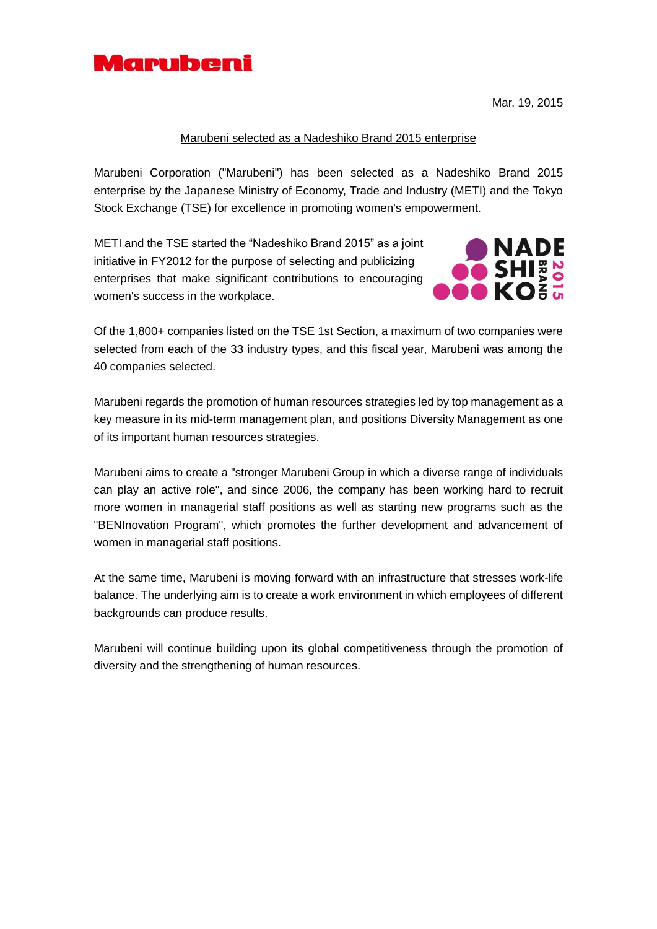

Mar. 19, 2015

## Marubeni selected as a Nadeshiko Brand 2015 enterprise

Marubeni Corporation ("Marubeni") has been selected as a Nadeshiko Brand 2015 enterprise by the Japanese Ministry of Economy, Trade and Industry (METI) and the Tokyo Stock Exchange (TSE) for excellence in promoting women's empowerment.

METI and the TSE started the "Nadeshiko Brand 2015" as a joint initiative in FY2012 for the purpose of selecting and publicizing enterprises that make significant contributions to encouraging women's success in the workplace.



Of the 1,800+ companies listed on the TSE 1st Section, a maximum of two companies were selected from each of the 33 industry types, and this fiscal year, Marubeni was among the 40 companies selected.

Marubeni regards the promotion of human resources strategies led by top management as a key measure in its mid-term management plan, and positions Diversity Management as one of its important human resources strategies.

Marubeni aims to create a "stronger Marubeni Group in which a diverse range of individuals can play an active role", and since 2006, the company has been working hard to recruit more women in managerial staff positions as well as starting new programs such as the "BENInovation Program", which promotes the further development and advancement of women in managerial staff positions.

At the same time, Marubeni is moving forward with an infrastructure that stresses work-life balance. The underlying aim is to create a work environment in which employees of different backgrounds can produce results.

Marubeni will continue building upon its global competitiveness through the promotion of diversity and the strengthening of human resources.